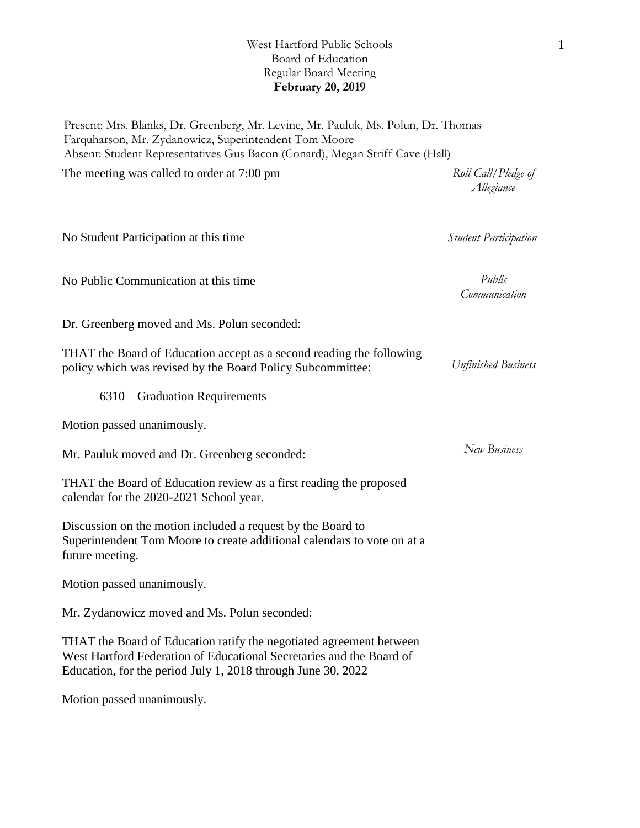## West Hartford Public Schools Board of Education Regular Board Meeting **February 20, 2019**

Present: Mrs. Blanks, Dr. Greenberg, Mr. Levine, Mr. Pauluk, Ms. Polun, Dr. Thomas-Farquharson, Mr. Zydanowicz, Superintendent Tom Moore Absent: Student Representatives Gus Bacon (Conard), Megan Striff-Cave (Hall)

| The meeting was called to order at 7:00 pm                                                                                           | Roll Call/Pledge of<br>Allegiance |
|--------------------------------------------------------------------------------------------------------------------------------------|-----------------------------------|
|                                                                                                                                      |                                   |
|                                                                                                                                      |                                   |
| No Student Participation at this time                                                                                                | <b>Student Participation</b>      |
|                                                                                                                                      |                                   |
|                                                                                                                                      |                                   |
| No Public Communication at this time                                                                                                 | Public                            |
|                                                                                                                                      | Communication                     |
|                                                                                                                                      |                                   |
| Dr. Greenberg moved and Ms. Polun seconded:                                                                                          |                                   |
| THAT the Board of Education accept as a second reading the following                                                                 |                                   |
| policy which was revised by the Board Policy Subcommittee:                                                                           | <b>Unfinished Business</b>        |
|                                                                                                                                      |                                   |
| 6310 – Graduation Requirements                                                                                                       |                                   |
|                                                                                                                                      |                                   |
| Motion passed unanimously.                                                                                                           |                                   |
| Mr. Pauluk moved and Dr. Greenberg seconded:                                                                                         | New Business                      |
|                                                                                                                                      |                                   |
| THAT the Board of Education review as a first reading the proposed                                                                   |                                   |
| calendar for the 2020-2021 School year.                                                                                              |                                   |
|                                                                                                                                      |                                   |
| Discussion on the motion included a request by the Board to                                                                          |                                   |
| Superintendent Tom Moore to create additional calendars to vote on at a<br>future meeting.                                           |                                   |
|                                                                                                                                      |                                   |
| Motion passed unanimously.                                                                                                           |                                   |
|                                                                                                                                      |                                   |
| Mr. Zydanowicz moved and Ms. Polun seconded:                                                                                         |                                   |
|                                                                                                                                      |                                   |
| THAT the Board of Education ratify the negotiated agreement between                                                                  |                                   |
| West Hartford Federation of Educational Secretaries and the Board of<br>Education, for the period July 1, 2018 through June 30, 2022 |                                   |
|                                                                                                                                      |                                   |
| Motion passed unanimously.                                                                                                           |                                   |
|                                                                                                                                      |                                   |
|                                                                                                                                      |                                   |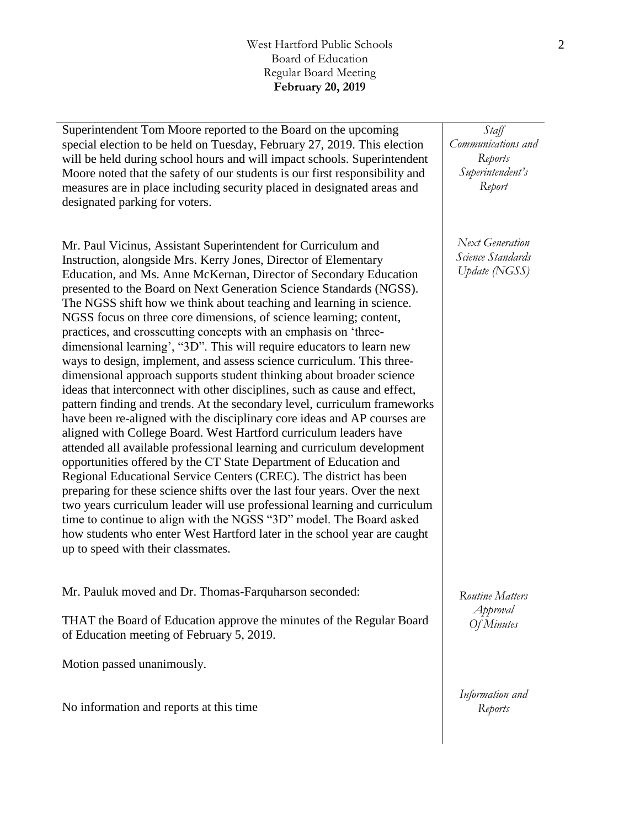## West Hartford Public Schools Board of Education Regular Board Meeting **February 20, 2019**

Superintendent Tom Moore reported to the Board on the upcoming special election to be held on Tuesday, February 27, 2019. This election will be held during school hours and will impact schools. Superintendent Moore noted that the safety of our students is our first responsibility and measures are in place including security placed in designated areas and designated parking for voters.

Mr. Paul Vicinus, Assistant Superintendent for Curriculum and Instruction, alongside Mrs. Kerry Jones, Director of Elementary Education, and Ms. Anne McKernan, Director of Secondary Education presented to the Board on Next Generation Science Standards (NGSS). The NGSS shift how we think about teaching and learning in science. NGSS focus on three core dimensions, of science learning; content, practices, and crosscutting concepts with an emphasis on 'threedimensional learning', "3D". This will require educators to learn new ways to design, implement, and assess science curriculum. This threedimensional approach supports student thinking about broader science ideas that interconnect with other disciplines, such as cause and effect, pattern finding and trends. At the secondary level, curriculum frameworks have been re-aligned with the disciplinary core ideas and AP courses are aligned with College Board. West Hartford curriculum leaders have attended all available professional learning and curriculum development opportunities offered by the CT State Department of Education and Regional Educational Service Centers (CREC). The district has been preparing for these science shifts over the last four years. Over the next two years curriculum leader will use professional learning and curriculum time to continue to align with the NGSS "3D" model. The Board asked how students who enter West Hartford later in the school year are caught up to speed with their classmates.

Mr. Pauluk moved and Dr. Thomas-Farquharson seconded:

THAT the Board of Education approve the minutes of the Regular Board of Education meeting of February 5, 2019.

Motion passed unanimously.

No information and reports at this time

*Staff Communications and Reports Superintendent's Report*

*Next Generation Science Standards Update (NGSS)*

*Routine Matters Approval Of Minutes*

*Information and Reports*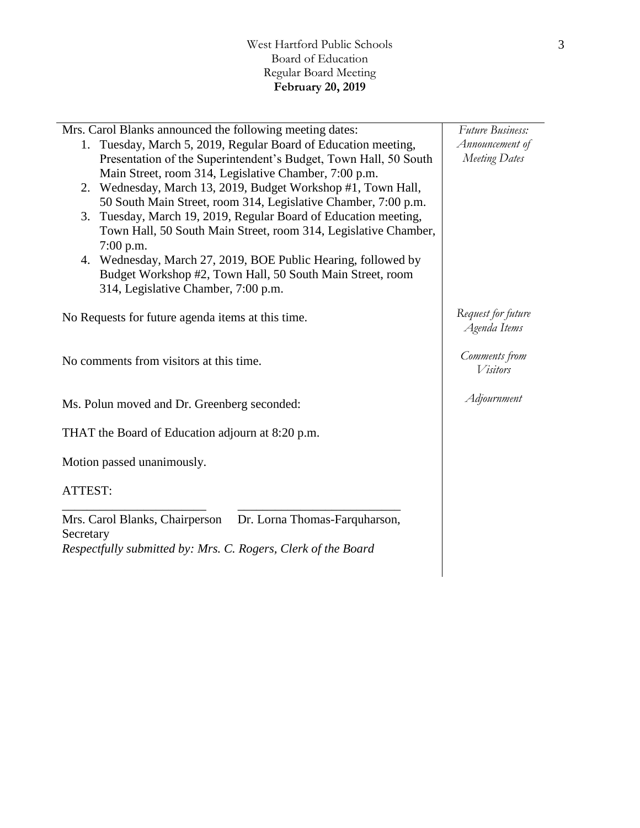|                                                                  | <b>Future Business:</b> |
|------------------------------------------------------------------|-------------------------|
| Mrs. Carol Blanks announced the following meeting dates:         | Announcement of         |
| 1. Tuesday, March 5, 2019, Regular Board of Education meeting,   | <b>Meeting Dates</b>    |
| Presentation of the Superintendent's Budget, Town Hall, 50 South |                         |
| Main Street, room 314, Legislative Chamber, 7:00 p.m.            |                         |
| 2. Wednesday, March 13, 2019, Budget Workshop #1, Town Hall,     |                         |
| 50 South Main Street, room 314, Legislative Chamber, 7:00 p.m.   |                         |
| 3. Tuesday, March 19, 2019, Regular Board of Education meeting,  |                         |
| Town Hall, 50 South Main Street, room 314, Legislative Chamber,  |                         |
| 7:00 p.m.                                                        |                         |
| 4. Wednesday, March 27, 2019, BOE Public Hearing, followed by    |                         |
| Budget Workshop #2, Town Hall, 50 South Main Street, room        |                         |
| 314, Legislative Chamber, 7:00 p.m.                              |                         |
|                                                                  | Request for future      |
| No Requests for future agenda items at this time.                | Agenda Items            |
|                                                                  |                         |
| No comments from visitors at this time.                          | Comments from           |
|                                                                  | <i>Visitors</i>         |
|                                                                  |                         |
|                                                                  | Adjournment             |
| Ms. Polun moved and Dr. Greenberg seconded:                      |                         |
| THAT the Board of Education adjourn at 8:20 p.m.                 |                         |
|                                                                  |                         |
| Motion passed unanimously.                                       |                         |
|                                                                  |                         |
| ATTEST:                                                          |                         |
|                                                                  |                         |
| Dr. Lorna Thomas-Farquharson,<br>Mrs. Carol Blanks, Chairperson  |                         |
| Secretary                                                        |                         |
| Respectfully submitted by: Mrs. C. Rogers, Clerk of the Board    |                         |
|                                                                  |                         |
|                                                                  |                         |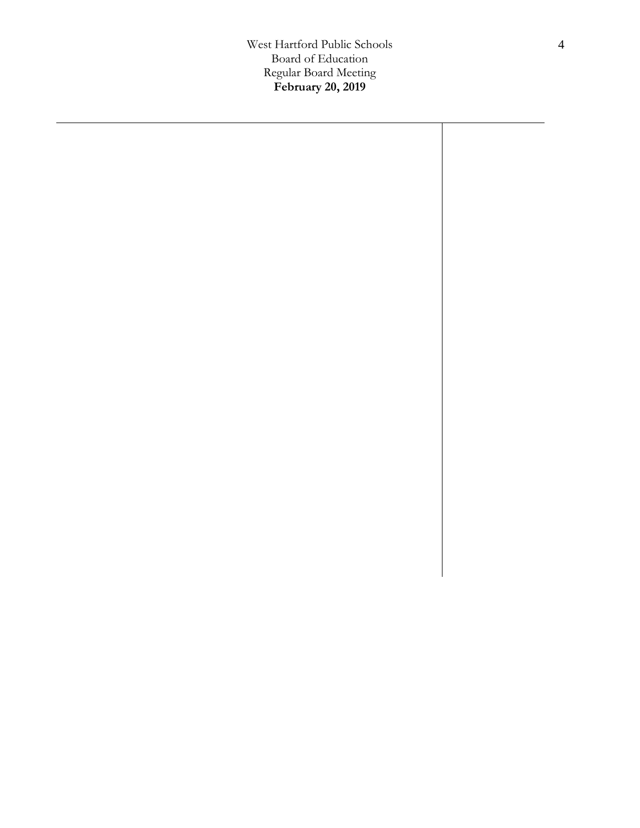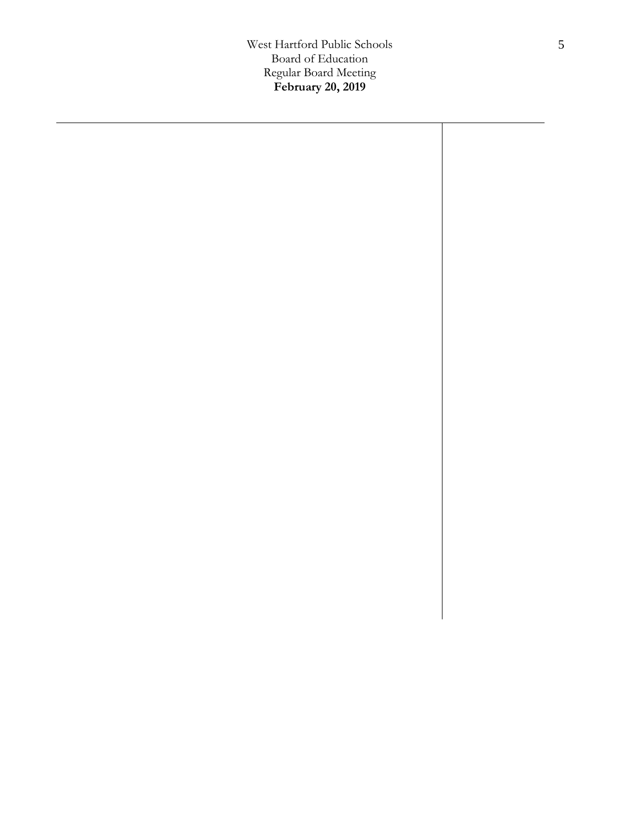